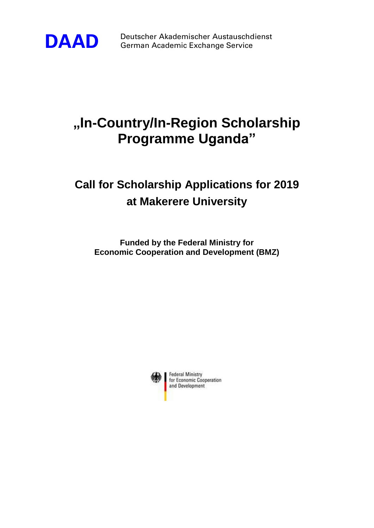

**DAAD** Deutscher Akademischer Austauschdienst<br>German Academic Exchange Service German Academic Exchange Service

# **"In-Country/In-Region Scholarship Programme Uganda"**

## **Call for Scholarship Applications for 2019 at Makerere University**

**Funded by the Federal Ministry for Economic Cooperation and Development (BMZ)**

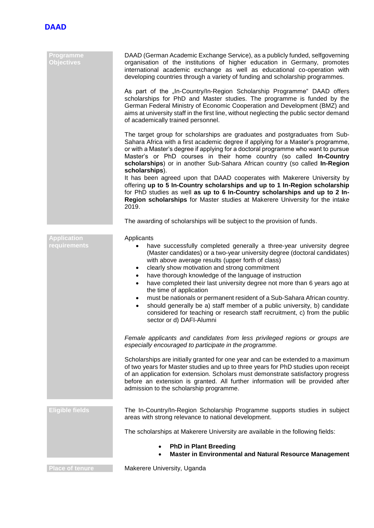

| Programme<br><b>Objectives</b>            | DAAD (German Academic Exchange Service), as a publicly funded, selfgoverning<br>organisation of the institutions of higher education in Germany, promotes<br>international academic exchange as well as educational co-operation with<br>developing countries through a variety of funding and scholarship programmes.                                                                                                                                                                                                                                                                                                                                                                                                                                   |
|-------------------------------------------|----------------------------------------------------------------------------------------------------------------------------------------------------------------------------------------------------------------------------------------------------------------------------------------------------------------------------------------------------------------------------------------------------------------------------------------------------------------------------------------------------------------------------------------------------------------------------------------------------------------------------------------------------------------------------------------------------------------------------------------------------------|
|                                           | As part of the "In-Country/In-Region Scholarship Programme" DAAD offers<br>scholarships for PhD and Master studies. The programme is funded by the<br>German Federal Ministry of Economic Cooperation and Development (BMZ) and<br>aims at university staff in the first line, without neglecting the public sector demand<br>of academically trained personnel.                                                                                                                                                                                                                                                                                                                                                                                         |
|                                           | The target group for scholarships are graduates and postgraduates from Sub-<br>Sahara Africa with a first academic degree if applying for a Master's programme,<br>or with a Master's degree if applying for a doctoral programme who want to pursue<br>Master's or PhD courses in their home country (so called In-Country<br>scholarships) or in another Sub-Sahara African country (so called In-Region<br>scholarships).                                                                                                                                                                                                                                                                                                                             |
|                                           | It has been agreed upon that DAAD cooperates with Makerere University by<br>offering up to 5 In-Country scholarships and up to 1 In-Region scholarship<br>for PhD studies as well as up to 6 In-Country scholarships and up to 2 In-<br>Region scholarships for Master studies at Makerere University for the intake<br>2019.                                                                                                                                                                                                                                                                                                                                                                                                                            |
|                                           | The awarding of scholarships will be subject to the provision of funds.                                                                                                                                                                                                                                                                                                                                                                                                                                                                                                                                                                                                                                                                                  |
| <b>Application</b><br><b>requirements</b> | Applicants<br>have successfully completed generally a three-year university degree<br>(Master candidates) or a two-year university degree (doctoral candidates)<br>with above average results (upper forth of class)<br>clearly show motivation and strong commitment<br>٠<br>have thorough knowledge of the language of instruction<br>٠<br>have completed their last university degree not more than 6 years ago at<br>$\bullet$<br>the time of application<br>must be nationals or permanent resident of a Sub-Sahara African country.<br>$\bullet$<br>should generally be a) staff member of a public university, b) candidate<br>$\bullet$<br>considered for teaching or research staff recruitment, c) from the public<br>sector or d) DAFI-Alumni |
|                                           | Female applicants and candidates from less privileged regions or groups are<br>especially encouraged to participate in the programme.                                                                                                                                                                                                                                                                                                                                                                                                                                                                                                                                                                                                                    |
|                                           | Scholarships are initially granted for one year and can be extended to a maximum<br>of two years for Master studies and up to three years for PhD studies upon receipt<br>of an application for extension. Scholars must demonstrate satisfactory progress<br>before an extension is granted. All further information will be provided after<br>admission to the scholarship programme.                                                                                                                                                                                                                                                                                                                                                                  |
| <b>Eligible fields</b>                    | The In-Country/In-Region Scholarship Programme supports studies in subject<br>areas with strong relevance to national development.                                                                                                                                                                                                                                                                                                                                                                                                                                                                                                                                                                                                                       |
|                                           | The scholarships at Makerere University are available in the following fields:                                                                                                                                                                                                                                                                                                                                                                                                                                                                                                                                                                                                                                                                           |
|                                           | <b>PhD in Plant Breeding</b><br>Master in Environmental and Natural Resource Management                                                                                                                                                                                                                                                                                                                                                                                                                                                                                                                                                                                                                                                                  |
| <b>Place of tenure</b>                    | Makerere University, Uganda                                                                                                                                                                                                                                                                                                                                                                                                                                                                                                                                                                                                                                                                                                                              |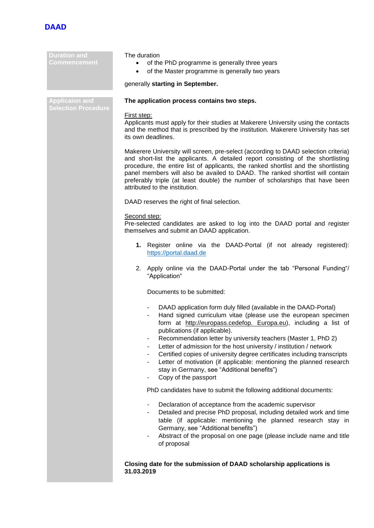

**Duration and Commencement**

#### The duration

- of the PhD programme is generally three years
- of the Master programme is generally two years

#### generally **starting in September.**

**Applicaion and Selection Procedure**

### **The application process contains two steps.**

#### First step:

Applicants must apply for their studies at Makerere University using the contacts and the method that is prescribed by the institution. Makerere University has set its own deadlines.

Makerere University will screen, pre-select (according to DAAD selection criteria) and short-list the applicants. A detailed report consisting of the shortlisting procedure, the entire list of applicants, the ranked shortlist and the shortlisting panel members will also be availed to DAAD. The ranked shortlist will contain preferably triple (at least double) the number of scholarships that have been attributed to the institution.

DAAD reserves the right of final selection.

#### Second step:

Pre-selected candidates are asked to log into the DAAD portal and register themselves and submit an DAAD application.

- **1.** Register online via the DAAD-Portal (if not already registered): [https://portal.daad.de](https://portal.daad.de/)
- 2. Apply online via the DAAD-Portal under the tab "Personal Funding"/ "Application"

Documents to be submitted:

- DAAD application form duly filled (available in the DAAD-Portal)
- Hand signed curriculum vitae (please use the european specimen form at http://europass.cedefop. Europa.eu), including a list of publications (if applicable).
- Recommendation letter by university teachers (Master 1, PhD 2)
- Letter of admission for the host university / institution / network
- Certified copies of university degree certificates including transcripts
- Letter of motivation (if applicable: mentioning the planned research stay in Germany, see "Additional benefits")
- Copy of the passport

PhD candidates have to submit the following additional documents:

- Declaration of acceptance from the academic supervisor
- Detailed and precise PhD proposal, including detailed work and time table (if applicable: mentioning the planned research stay in Germany, see "Additional benefits")
- Abstract of the proposal on one page (please include name and title of proposal

**Closing date for the submission of DAAD scholarship applications is 31.03.2019**